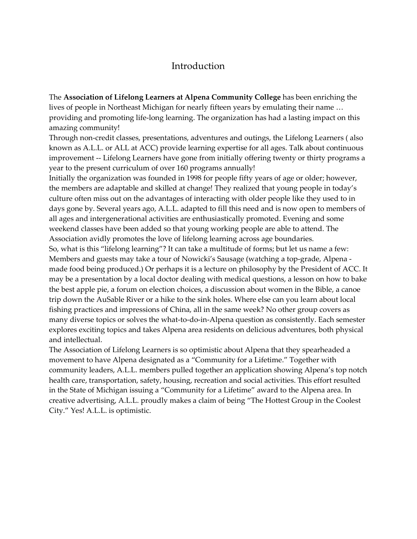## Introduction

The Association of Lifelong Learners at Alpena Community College has been enriching the lives of people in Northeast Michigan for nearly fifteen years by emulating their name … providing and promoting life-long learning. The organization has had a lasting impact on this amazing community!

Through non-credit classes, presentations, adventures and outings, the Lifelong Learners ( also known as A.L.L. or ALL at ACC) provide learning expertise for all ages. Talk about continuous improvement -- Lifelong Learners have gone from initially offering twenty or thirty programs a year to the present curriculum of over 160 programs annually!

Initially the organization was founded in 1998 for people fifty years of age or older; however, the members are adaptable and skilled at change! They realized that young people in today's culture often miss out on the advantages of interacting with older people like they used to in days gone by. Several years ago, A.L.L. adapted to fill this need and is now open to members of all ages and intergenerational activities are enthusiastically promoted. Evening and some weekend classes have been added so that young working people are able to attend. The Association avidly promotes the love of lifelong learning across age boundaries.

So, what is this "lifelong learning"? It can take a multitude of forms; but let us name a few: Members and guests may take a tour of Nowicki's Sausage (watching a top-grade, Alpena made food being produced.) Or perhaps it is a lecture on philosophy by the President of ACC. It may be a presentation by a local doctor dealing with medical questions, a lesson on how to bake the best apple pie, a forum on election choices, a discussion about women in the Bible, a canoe trip down the AuSable River or a hike to the sink holes. Where else can you learn about local fishing practices and impressions of China, all in the same week? No other group covers as many diverse topics or solves the what-to-do-in-Alpena question as consistently. Each semester explores exciting topics and takes Alpena area residents on delicious adventures, both physical and intellectual.

The Association of Lifelong Learners is so optimistic about Alpena that they spearheaded a movement to have Alpena designated as a "Community for a Lifetime." Together with community leaders, A.L.L. members pulled together an application showing Alpena's top notch health care, transportation, safety, housing, recreation and social activities. This effort resulted in the State of Michigan issuing a "Community for a Lifetime" award to the Alpena area. In creative advertising, A.L.L. proudly makes a claim of being "The Hottest Group in the Coolest City." Yes! A.L.L. is optimistic.